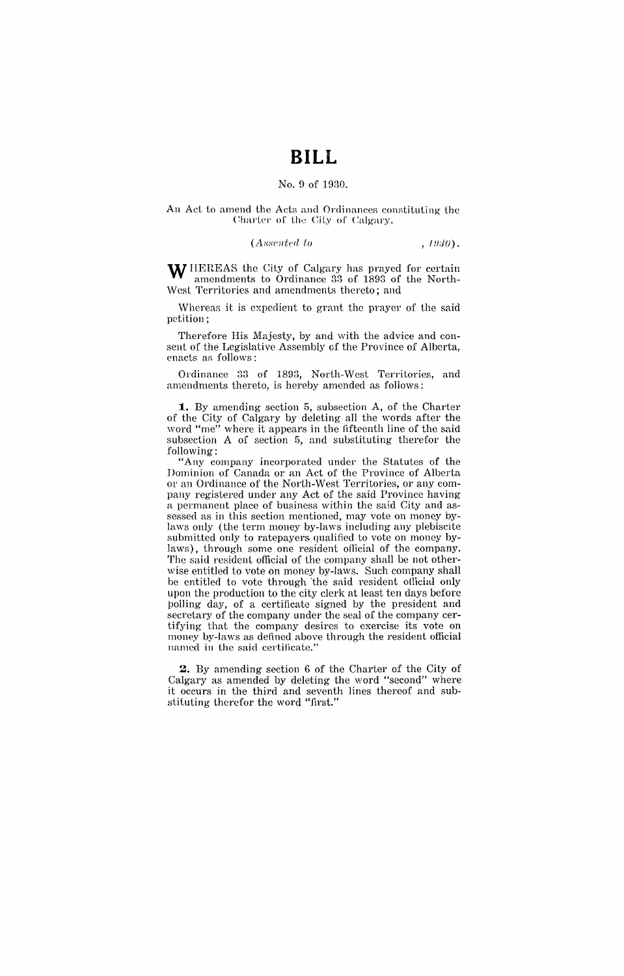# **BILL**

### No.9 of 1930.

#### An Act to amend the Acts and Ordinances constituting the Charter of the City of Calgary.

#### $(Associated to$ ,  $1930)$ .

W HEREAS the City of Calgary has prayed for certain amendments to Ordinance 33 of 1893 of the North-West Territories and amendments thereto; and

Whereas it is expedient to grant the prayer of the said petition;

Therefore His Majesty, by and with the advice and consent of the Legislative Assembly of the Province of Alberta, enacts as follows:

Ordinance 33 of 1893, North-West Territories, and amendments thereto, is hereby amended as follows:

**1.** By amending section 5, subsection A, of the Charter of the City of Calgary by deleting all the words after the word "me" where it appears in the fifteenth line of the said subsection A of section 5, and substituting therefor the following:

"Any company incorporated under the Statutes of the Dominion of Canada or an Act of the Province of Alberta or an Ordinance of the North-West Territories, or any company registered under any Act of the said Province having a permanent place of business within the said City and assessed as in this section mentioned, may vote on money bylaws only (the term money by-laws including any plebiscite submitted only to ratepayers qualified to vote on money bylaws), through some one resident official of the company. The said resident official of the company shall be not otherwise entitled to vote on money by-laws. Such company shall be entitled to vote through the said resident official only upon the production to the city clerk at least ten days before polling day, of a certificate signed by the president and secretary of the company under the seal of the company certifying that the company desires to exercise its vote on money by-laws as defined above through the resident official named in the said certificate."

**2.** By amending section 6 of the Charter of the City of Calgary as amended by deleting the word "second" where it occurs in the third and seventh lines thereof and substituting therefor the word "first."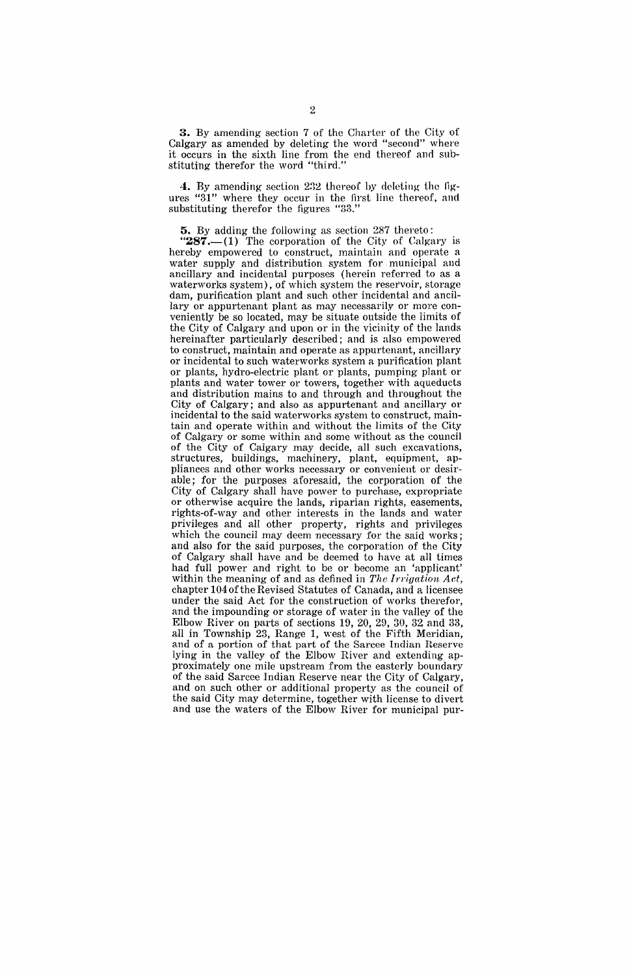**3.** By amending section 7 of the Charter of the City of Calgary as' amended by deleting the word "second" where it occurs in the sixth line from the end thereof and substituting therefor the word "third."

**4.** By amending section 232 thereof by deleting the figures "31" where they occur in the first line thereof, and substituting therefor the figures "33."

**5.** By adding the following as section 287 thereto:

" $287$ .  $(1)$  The corporation of the City of Calgary is hereby empowered to construct, maintain and operate a water supply and distribution system for municipal and ancillary and incidental purposes (herein referred to as a waterworks system), of which system the reservoir, storage dam, purification plant and such other incidental and ancillary or appurtenant plant as may necessarily or more conveniently be so located, may be situate outside the limits of the City of Calgary and upon or in the vicinity of the lands hereinafter particularly described; and is also empowered to construct, maintain and operate as appurtenant, ancillary or incidental to such waterworks system a purification plant or plants, hydro-electric plant or plants, pumping plant or plants and water tower or towers, together with aqueducts and distribution mains to and through and throughout the City of Calgary; and also as appurtenant and ancillary or incidental to the said waterworks system to construct, maintain and operate within and without the limits of the City of Calgary or some within and some without as the eouncil of the City of Calgary may decide, all such excavations, structures, buildings, machinery, plant, equipment, appliances and other works necessary or convenient or desirable; for the purposes aforesaid, the corporation of the City of Calgary shall have power to purchase, expropriate or otherwise acquire the lands, riparian rights, easements, rights-of-way and other interests in the lands and water privileges and all other property, rights and privileges which the council may deem necessary for the said works; and also for the said purposes, the corporation of the City of Calgary shall have and be deemed to have at all times had full power and right to be or beeome an 'applicant' within the meaning of and as defined in *The Irrigation Act,*  chapter 104 of the Revised Statutes of Canada, and a licensee under the said Act for the construction of works therefor, and the impounding or storage of water in the valley of the Elbow River on parts of sections  $19, 20, 29, 30, 32$  and  $33,$ all in Township 23, Range 1, west of the Fifth Meridian, and of a portion of that part of the Sarcee Indian Reserve lying in the valley of the Elbow River and extending approximately one mile upstream from the easterly boundary of the said Sarcee Indian Reserve near the City of Calgary, and on such other or additional property as the council of the said City may determine, together with license to divert and use the waters of the Elbow River for municipal pur-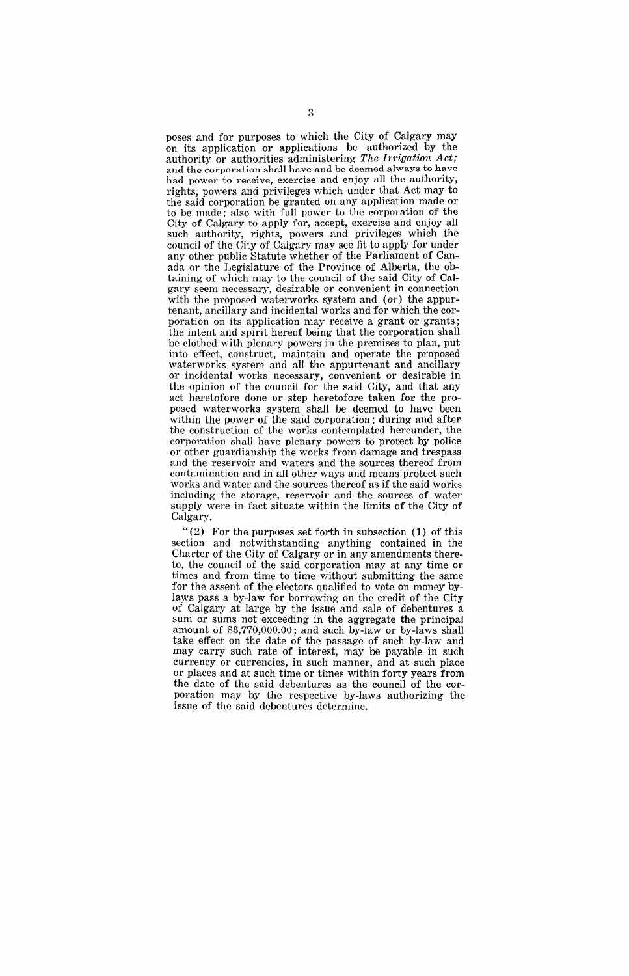poses and for purposes to which the City of Calgary may on its application or applications be authorized by the authority or authorities administering *The Irrigation Act;*  and the corporation shall have and be deemed always to have had power to receive, exercise and enjoy all the authority, rights, powers and privileges which under that Act may to the said corporation be granted on any application made or to be made; also with full power to the corporation of the City of Calgary to apply for, accept, exercise and enjoy all such authority, rights, powers and privileges which the council of the City of Calgary may see lit to apply for under any other public Statute whether of the Parliament of Canada or the Legislature of the Province of Alberta, the obtaining of which may to the council of the said City of Calgary seem necessary, desirable or convenient in connection with the proposed waterworks system and *(or)* the appurtenant, ancillary and incidental works and for which the corporation on its application may receive a grant or grants; the intent and spirit hereof being that the corporation shall be clothed with plenary powers in the premises to plan, put into effect, construct, maintain and operate the proposed waterworks system and all the appurtenant and ancillary or incidental works necessary, convenient or desirable in the opinion of the council for the said City, and that any act heretofore done or step heretofore taken for the proposed waterworks system shall be deemed to have been within the power of the said corporation; during and after the construction of the works contemplated hereunder, the corporation shall have plenary powers to protect by police or other guardianship the works from damage and trespass and the reservoir and waters and the sources thereof from contamination and in all other ways and means protect such works and water and the sources thereof as if the said works including the storage, reservoir and the sources of water supply were in fact situate within the limits of the City of Calgary.

"(2) For the purposes set forth in subsection (1) of this section and notwithstanding anything contained in the Charter of the City of Calgary or in any amendments thereto, the council of the said corporation may at any time or times and from time to time without submitting the same for the assent of the electors qualified to vote on money' bylaws pass a by-law for borrowing on the credit of the City of Calgary at large by the issue and sale of debentures a sum or sums not exceeding in the aggregate the principal amount of \$3,770,000.00; and such by-law or by-laws shall take effect on the date of the passage of such by-law and may carry such rate of interest, may be payable in such currency or currencies, in such manner, and at such place or places and at such time or times within forty years from the date of the said debentures as the council of the corporation may by the respective by-laws authorizing the issue of the said debentures determine.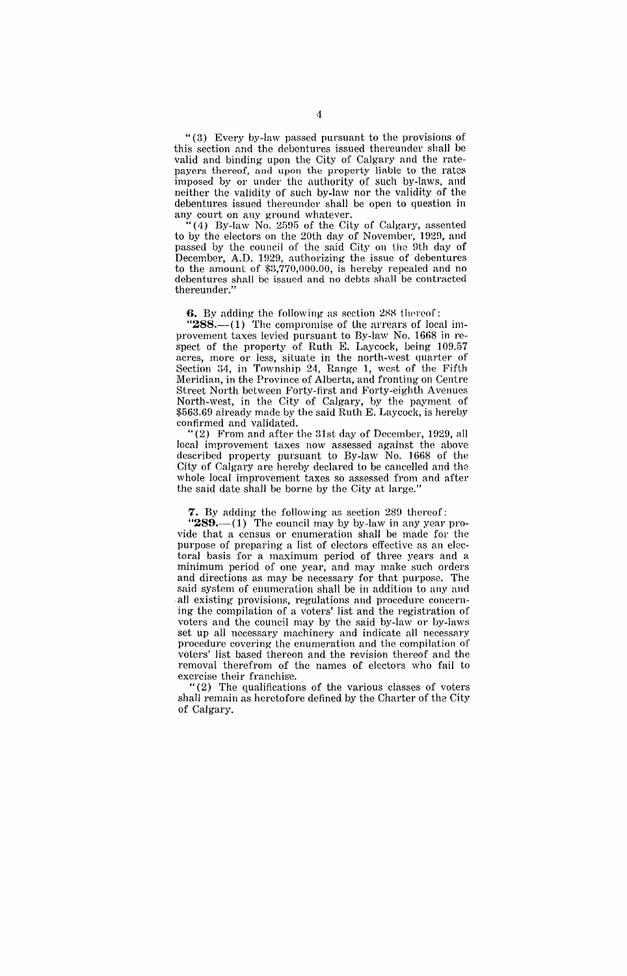"(3) Every by-law passed pursuant to the provisinns of this section and the debentures issued thereunder shall be valid and binding upon the City of Calgary and the ratepayers thereof, and upon the property liable to the rates imposed by or under the authority of such by-laws, and neither the validity of such by-law nor the validity of the debentures issued thereunder shall be open to question in any court on any ground whatever.

"(4) By-law No. 2595 of the City of Calgary, assented to by the electors on the 20th day of November, 1929, and passed by the council of the said City on the 9th day of December, A.D. 1929, authorizing the issue of debentures to the amount of \$3,770,000.00, is hereby repealed and no debentures shali be issued and no debts shall be contracted thereunder."

**6.** By adding the following as section 288 thereof:

" $288$ ---(1) The compromise of the arrears of local improvement taxes levied pursuant to By-law No. 1668 in respect of the property of Ruth E. Laycock, being 109.57 acres, more or less, situate in the north-west quarter of Section 34, in Township 24, Range 1, west of the Fifth Meridian, in the Province of Alberta, and fronting on Centre Street North between Forty-first and Forty-eighth Avenues North-west, in the City of Calgary, by the payment of \$563.69 already made by the said Ruth E. Laycock, is hereby confirmed and validated.

"(2) From and after the 31st day of December, 1929, all local improvement taxes now assessed against the above described property pursuant to By-law No. 1668 of the City of Calgary are hereby declared to be cancelled and the whole local improvement taxes so assessed from and after the said date shall be borne by the City at large."

**7.** By adding the following as section 289 thereof::

" $289$ . $-$ (1) The council may by by-law in any year provide that a census or enumeration shall be made for the purpose of preparing a list of electors effective as an electoral basis for a maximum period of three years and a minimum period of one year, and may make such orders and directions as may be necessary for that purpose. The said system of enumeration shall be in addition to any and all existing provisions, regulations and procedure concerning the compilation of a voters' list and the registration of voters and the council may by the said by-law or by-laws set up all necessary machinery and indicate all necessary procedure covering the enumeration and the compilation of voters' list based thereon and the revision thereof and the removal therefrom of the names of electors who fail to exercise their franchise.

"(2) The qualifications of the various classes of voters shall remain as heretofore defined by the Charter of the City of Calgary.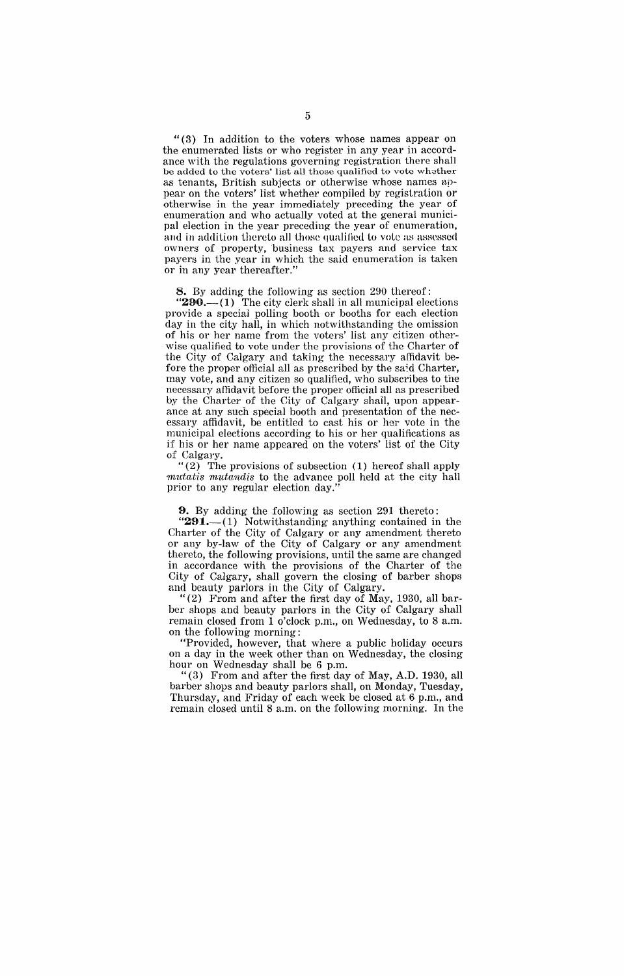"(3) In addition to the voters whose names appear on the enumerated lists or who register in any year in accordance with the regulations governing registration there shall be added to the voters' list all those qualified to vote whether as tenants, British subjects or otherwise whose names appear on the voters' list whether compiled by registration or otherwise in the year immediately preceding the year of enumeration and who actually voted at the general municipal election in the year preceding the year of enumeration, and in addition thereto all those qualified to vote as assessed owners of property, business tax payers and service tax payers in the year in which the said enumeration is taken or in any year thereafter."

8. By adding the following as section 290 thereof:

 $290$ . $-$ (1) The city clerk shall in all municipal elections provide a special polling booth or booths for each election day in the city hall, in which notwithstanding the omission of his or her name from the voters' list any citizen otherwise qualified to vote under the provisions of the Charter of the City of Calgary and taking the necessary affidavit before the proper official all as prescribed by the said Charter, may vote, and any citizen so qualified, who subscribes to the necessary affidavit before the proper official all as prescribed by the Charter of the City of Calgary shall, upon appearance at any such special booth and presentation of the necessary affidavit, be entitled to cast his or her vote in the municipal elections according to his or her qualifications as if his or her name appeared on the voters' list of the City of Calgary.

"(2) The provisions of subsection (1) hereof shall apply mutatis mutandis to the advance poll held at the city hall prior to any regular election day."

#### 9. By adding the following as section 291 thereto:

" $291$ .—(1) Notwithstanding anything contained in the Charter of the City of Calgary or any amendment thereto or any by-law of the City of Calgary or any amendment thereto, the following provisions, until the same are changed in accordance with the provisions of the Charter of the City of Calgary, shall govern the closing of barber shops and beauty parlors in the City of Calgary.

 $(2)$  From and after the first day of May, 1930, all barber shops and beauty parlors in the City of Calgary shall remain closed from 1 o'clock p.m., on Wednesday, to 8 a.m. on the following morning:

"Provided, however, that where a public holiday occurs on a day in the week other than on Wednesday, the closing hour on Wednesday shall be 6 p.m.

"(3) From and after the first day of May, A.D. 1930, all barber shops and beauty parlors shall, on Monday, Tuesday, Thursday, and Friday of each week be closed at 6 p.m., and remain closed until 8 a.m. on the following morning. In the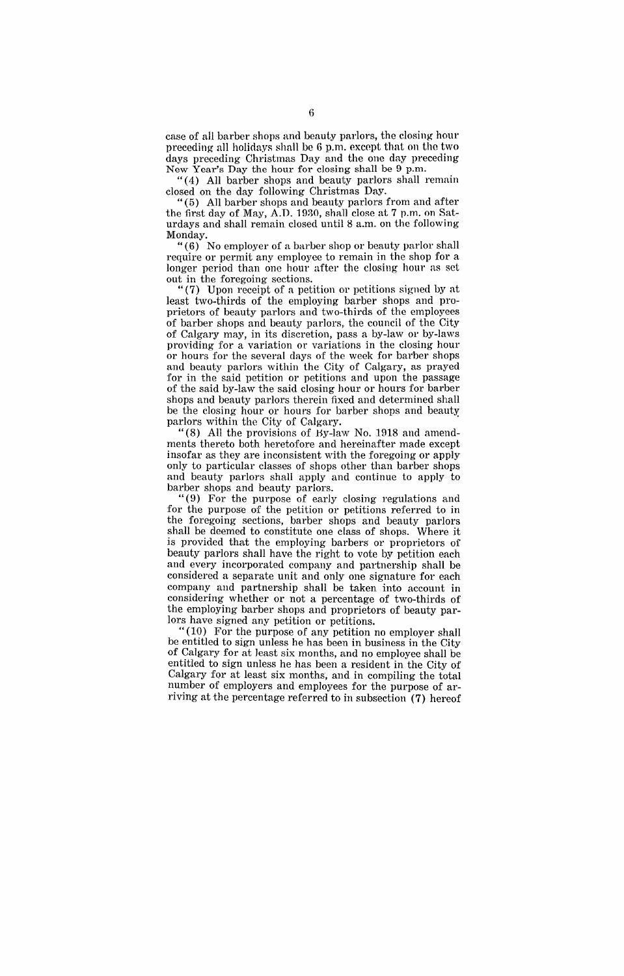case of all barber shops and beauty parlors, the closing hour preceding all holidays shall be 6 p.m. except that on the two days preceding Christmas Day and the one day preceding New Year's Day the hour for closing shall be 9 p.m.

"(4) All barber shops and beauty parlors shall remain closed on the day following Christmas Day.

"( 5) All barber shops and beauty parlors from and after the first day of May, A.D. 1930, shall close at 7 p.m. on Saturdays and shall remain closed until 8 a.m. on the following Monday.

"(6) No employer of a barber shop or beauty parlor shall require or permit any employee to remain in the shop for a longer period than one hour after the closing hour as set out in the foregoing sections.

"(7) Upon receipt of a petition or petitions signed by at least two-thirds of the employing barber shops and proprietors of beauty parlors and two-thirds of the employees of barber shops and beauty parlors, the council of the City of Calgary may, in its discretion, pass a by-law or by-laws providing for a variation or variations in the closing hour or hours for the several days of the week for barber shops and beauty parlors within the City of Calgary, as prayed for in the said petition or petitions and upon the passage of the said by-law the said closing hour or hours for barber shops and beauty parlors therein fixed and determined shall be the closing hour or hours for barber 8hops and beauty parlors within the City of Calgary. .

"(8) All the provisions of By-law No. 1918 and amendments thereto both heretofore and hereinafter made except insofar as they are inconsistent with the foregoing or apply only to particular classes of shops other than barber shops and beauty parlors shall apply and continue to apply to barber shops and beauty parlors.

"(9) For the purpose of early closing regulations and for the purpose of the petition or petitions referred to in the foregoing sections, barber shops and beauty parlors shall be deemed to constitute one class of shops. Where it is provided that the employing barbers or proprietors of beauty parlors shall have the right to vote by petition each and every incorporated company and partnership shall be considered a separate unit and only one signature for each company and partnership shall be taken into account in considering whether or not a percentage of two-thirds of the employing barber shops and proprietors of beauty parlors have signed any petition or petitions.

"(10) For the purpose of any petition no employer shall be entitled to sign unless he has been in business in the City of Calgary for at least six months, and no employee shall be entitled to sign unless he has been a resident in the City of Calgary for at least six months, and in compiling the total number of employers and employees for the purpose of arriving at the percentage referred to in subsection (7) hereof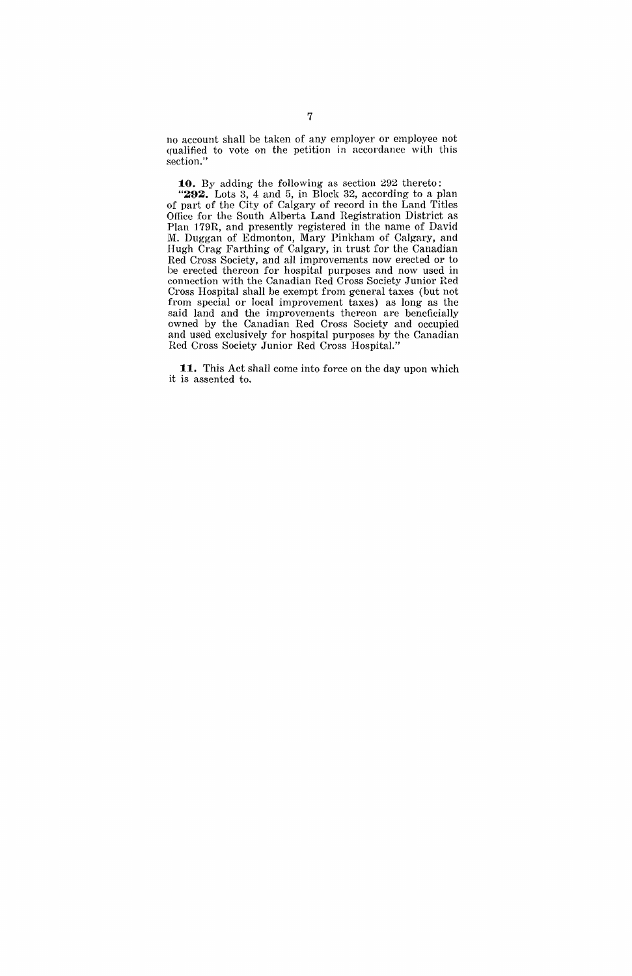no account shall be taken of any employer or employee not qualified to vote on the petition in accordance with this section."

**:10.** By adding the following as section 292 thereto:

**"292.** Lots 3, 4 and 5, in Block 32, according to a plan of part of the City of Calgary of record in the Land Titles Office for the South Alberta Land Registration District as Plan 179R, and presently registered in the name of David M. Duggan of Edmonton, Mary Pinkham of Calgary, and Hugh Crag Farthing of Calgary, in trust for the Canadian Red Cross Society, and all improvements now erected or to be erected thereon for hospital purposes and now used in connection with the Canadian Red Cross Society Junior Red Cross Hospital shall be exempt from general taxes (but not from special or local improvement taxes) as long as the said land and the improvements thereon are beneficially owned by the Canadian Red Cross Society and occupied and used exclusively for hospital purposes by the Canadian Red Cross Society Junior Red Cross Hospital."

**11.** This Act shall come into force on the day upon which it is assented to.